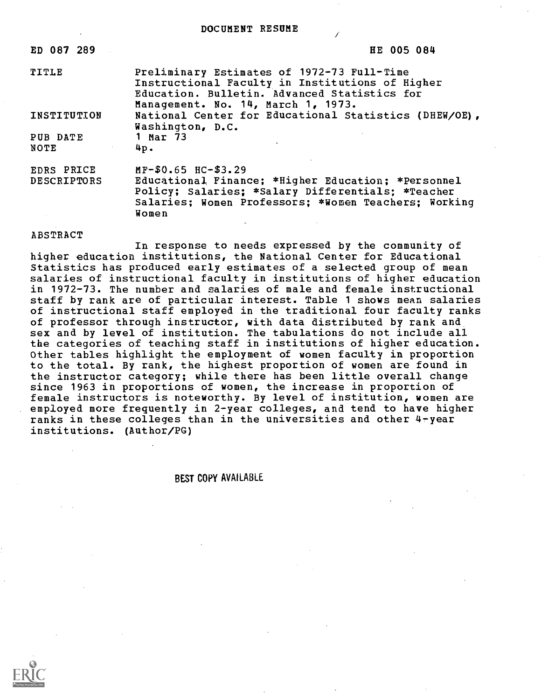DOCUMENT RESUME

| ED 087 289                       | HE 005 084                                                                                                                                                                                       |
|----------------------------------|--------------------------------------------------------------------------------------------------------------------------------------------------------------------------------------------------|
| TITLE                            | Preliminary Estimates of 1972-73 Full-Time<br>Instructional Faculty in Institutions of Higher<br>Education. Bulletin. Advanced Statistics for<br>Management. No. 14, March 1, 1973.              |
| INSTITUTION                      | National Center for Educational Statistics (DHEW/OE),<br>Washington, D.C.                                                                                                                        |
| PUB DATE<br>NOTE                 | 1 Mar 73<br>4p.                                                                                                                                                                                  |
| EDRS PRICE<br><b>DESCRIPTORS</b> | $MF-$0.65$ HC-\$3.29<br>Educational Finance; *Higher Education; *Personnel<br>Policy; Salaries; *Salary Differentials; *Teacher<br>Salaries; Women Professors; *Women Teachers; Working<br>Women |

## ABSTRACT

In response to needs expressed by the community of higher education institutions, the National Center for Educational Statistics has produced early estimates of a selected group of mean salaries of instructional faculty in institutions of higher education in 1972-73. The number and salaries of male and female instructional staff by rank are of particular interest. Table 1 shows mean salaries of instructional staff employed in the traditional four faculty ranks of professor through instructor, with data distributed by rank and sex and by level of institution. The tabulations do not include all the categories of teaching staff in institutions of higher education. Other tables highlight the employment of women faculty in proportion to the total. By rank, the highest proportion of women are found in the instructor category; while there has been little overall change since 1963 in proportions of women, the increase in proportion of female instructors is noteworthy. By level of institution, women are employed more frequently in 2-year colleges, and tend to have higher ranks in these colleges than in the universities and other 4-year institutions. (Author/PG)

## BEST COPY AVAILABLE

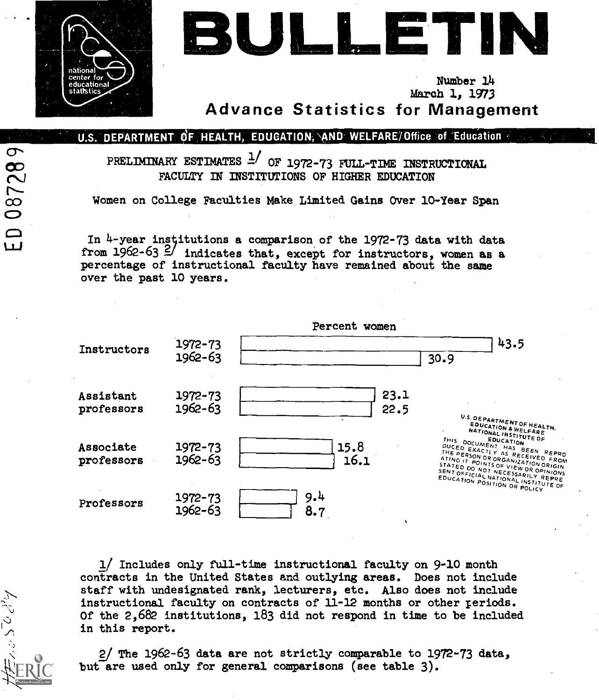

087289

 $\begin{array}{c} 0 \\ 0 \end{array}$ 

いいっこん



Number 14 March 1, 1973 Advance Statistics for Management

U.S. DEPARTMENT OF HEALTH, EDUCATION, AND WELFARE/Office of Education

PRELIMINARY ESTIMATES  $\frac{1}{1072}$  of 1972-73 full-time instructional FACULTY IN INSTITUTIONS OF HIGHER EDUCATION

Women on College Faculties Make Limited Gains Over 10-Year Span

In 4-year institutions a comparison of the 1972-73 data with data from 1962-63  $\frac{2}{1}$  indicates that, except for instructors, women as a percentage of instructional faculty have remained about the same over the past 10 years.



1/ Includes only full-time instructional faculty on 9-10 month contracts in the United States and outlying areas. Does not include staff with undesignated rank, lecturers, etc. Also does not include instructional faculty on contracts of 11-12 months or other periods. Of the 2,682 institutions, 183 did not respond in time to be included in this report.

2/ The 1962-63 data are not strictly comparable to 1972-73 data, but are used only for general comparisons (see table 3).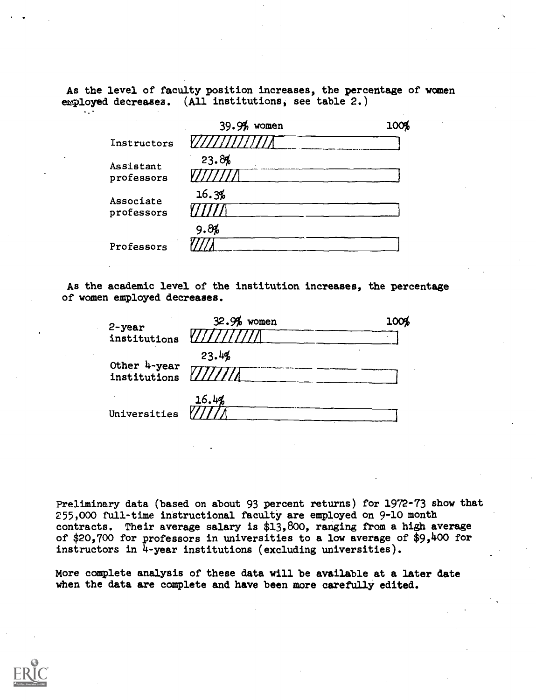As the level of faculty position increases, the percentage of women employed decreases. (All institutions; see table 2.)

|                         | 39.9%<br>women | 100% |
|-------------------------|----------------|------|
| Instructors             |                |      |
| Assistant<br>professors | 23.8%          |      |
| Associate<br>professors | 16.3%          |      |
|                         | 9.8%           |      |
| Professors              |                |      |

As the academic level of the institution increases, the percentage of women employed decreases.

| $2 - year$                   | $32.9%$ women | 100% |
|------------------------------|---------------|------|
| institutions                 |               |      |
|                              | 23.4%         |      |
| Other 4-year<br>institutions |               |      |
|                              | 16.4%         |      |
| Universities                 |               |      |

Preliminary data (based on about 93 percent returns) for 1972-73 show that 255,000 full-time instructional faculty are employed on 9-10 month contracts. Their average salary is \$13,800, ranging from a high average of \$20,700 for professors in universities to a low average of \$9,400 for instructors in 4-year institutions (excluding universities).

More complete analysis of these data will be available at a later date when the data are complete and have been more carefully edited.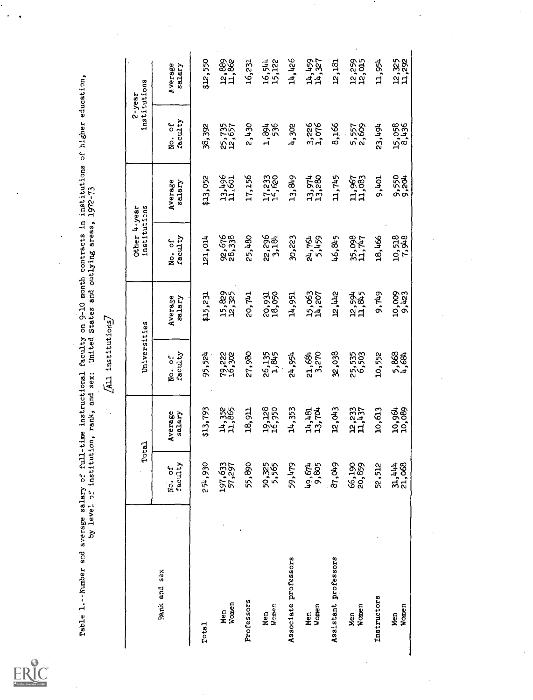Table 1.--Number and average salary of full-time instructional faculty on 9-10 month contracts in institutions of higher education,<br>by level of institution, rank, and sex: United States and outlying areas, 1972-73<br>[All ins

 $\overline{a}$ 

 $\ddot{\phantom{a}}$ 

 $\ddot{\phantom{0}}$ 

 $\hat{\mathcal{A}}$ 

|                      |                   | Total             | Universities      |                   | institutions<br>Other 4-year |                   |                   | institutions<br>$2 - year$ |
|----------------------|-------------------|-------------------|-------------------|-------------------|------------------------------|-------------------|-------------------|----------------------------|
| Rank and sex         | No. of<br>faculty | Average<br>salary | faculty<br>No. of | Average<br>salary | faculty<br>No. of            | Average<br>salary | faculty<br>No. of | Average<br>salary          |
| Total                | 930<br>254,       | \$13,793          | 95,524            | \$15,231          | 121,014                      | \$13,052          | 38,392            | \$12,550                   |
| Women<br>Men         | 197,633<br>57,297 | 14,352<br>11,865  | 79,222<br>16,302  | 15,829<br>12,325  | 92,676<br>28,338             | 13,496<br>11,601  | 25,735<br>12,657  | 12,889<br>11,862           |
| Professors           | &,<br>55,         | 18,911            | 27,980            | 20,741            | 25,480                       | 17,156            | 2,430             | 16,231                     |
| Women<br>Nen<br>E    | 50,325            | 19,128<br>16,350  | 26,135<br>1,845   | 20,931<br>18,050  | 22,296<br>3,184              | 17,233<br>14,620  | 1,894<br>536      | 16,544<br>15,122           |
| Associate professors | 59,479            | 14,353            | 24,954            | 14,951            | 30,223                       | 13,849            | 4,302             | 14,426                     |
| Men<br>Women         | 49,674            | 14,481<br>13,704  | 21,684            | 15,063<br>14,207  | 24,761<br>5,459              | 13,974<br>13,280  | 3,226<br>1,076    | 14,459<br>14,327           |
| Assistant professors | 87,049            | 12,043            | 32,038            | <b>244,21</b>     | 46,845                       | 11,745            | 8,166             | 12,181                     |
| Women<br>Nen         | 66,199<br>20,859  | 12,233<br>11,437  | 25,535<br>6,503   | 12,594<br>11,845  | 35,098<br>11,747             | 11,967<br>11,083  | 5,557<br>2,669    | 12,259<br>12,015           |
| Instructors          | 52,512            | 10,613            | 10,552            | 9,749             | 18,466                       | 9,401             | 23,494            | 11,954                     |
| Women<br>Men         | 31,444            | 10,964<br>10,089  | 5,888             | 10,009<br>8,423   | 10,518<br>7,948              | 9,552<br>9,204    | 15,058<br>8,436   | 12,325<br>11,292           |

 $\ddot{\phantom{0}}$ 

 $\ddot{\phantom{0}}$ 

 $\ddot{\phantom{a}}$ 

 $ER$